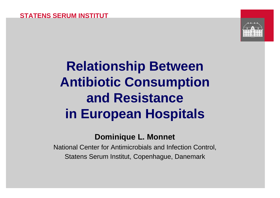

## **Relationship Between Antibiotic Consumption and Resistance in European Hospitals**

### **Dominique L. Monnet**

National Center for Antimicrobials and Infection Control, Statens Serum Institut, Copenhague, Danemark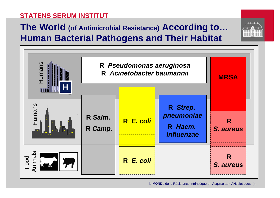#### **STATENS SERUM INSTITUT**

## **The World (of Antimicrobial Resistance) According to… Human Bacterial Pathogens and Their Habitat**





le **MOND**e de la **R**ésistance **I**ntrinsèque et **A**cquise aux **AN**tibiotiques ;-).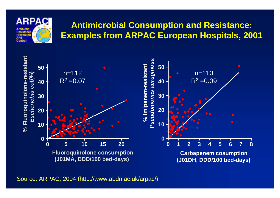

### **Antimicrobial Consumption and Resistance: Examples from ARPAC European Hospitals, 2001**



Source: ARPAC, 2004 (http://www.abdn.ac.uk/arpac/)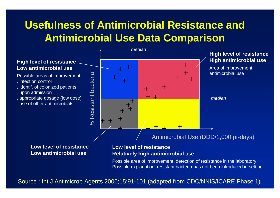## **Usefulness of Antimicrobial Resistance and Antimicrobial Use Data Comparison**



**Low antimicrobial use**

#### **Low level of resistance Relatively high antimicrobial** use

Possible area of improvement: detection of resistance in the laboratory Possible explanation: resistant bacteria has not been introduced in setting

Source : Int J Antimicrob Agents 2000;15:91-101 (adapted from CDC/NNIS/ICARE Phase 1).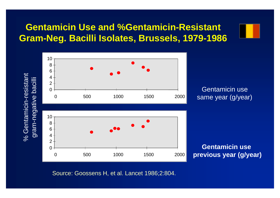### **Gentamicin Use and %Gentamicin-Resistant Gram-Neg. Bacilli Isolates, Brussels, 1979-1986**



Source: Goossens H, et al. Lancet 1986;2:804.

-resistant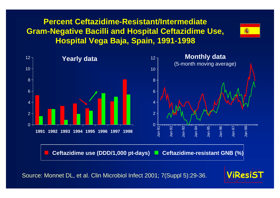#### **STATENS SERUM INSTITUT Percent Ceftazidime-Resistant/Intermediate Gram-Negative Bacilli and Hospital Ceftazidime Use, Hospital Vega Baja, Spain, 1991-1998**





Source: Monnet DL, et al. Clin Microbiol Infect 2001; 7(Suppl 5):29-36.

![](_page_5_Picture_4.jpeg)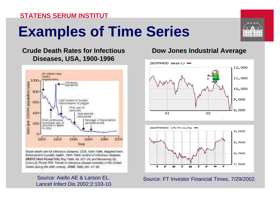#### **STATENS SERUM INSTITUT**

# **Examples of Time Series**

![](_page_6_Picture_2.jpeg)

![](_page_6_Figure_3.jpeg)

Crucle death rate for infectious diseases, USA, 1900-1996. Adapted from: Achievement in public health, 1900-1999; control of infectious diseases. MMMR Morb Mortal Wildy Rep 1999; #8, 621-29; and Armstrong GL. Conn LA, Pinner RW. Trends in infectious disease mortality in the United States during the 20th century, JAMA 1999; 281; 61-66.

#### Source: Aiello AE & Larson EL. Lancet Infect Dis 2002;2:103-10.

#### **Dow Jones Industrial Average**

![](_page_6_Figure_7.jpeg)

![](_page_6_Figure_8.jpeg)

Source: FT Investor Financial Times, 7/29/2002.

![](_page_6_Picture_10.jpeg)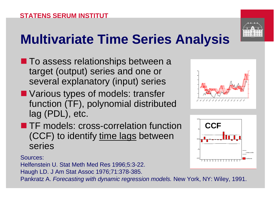# **Multivariate Time Series Analysis**

- **n** To assess relationships between a target (output) series and one or several explanatory (input) series
- **N** Various types of models: transfer function (TF), polynomial distributed lag (PDL), etc.
- **n** TF models: cross-correlation function (CCF) to identify time lags between series

Sources:

Helfenstein U. Stat Meth Med Res 1996;5:3-22. Haugh LD. J Am Stat Assoc 1976;71:378-385.

Pankratz A. *Forecasting with dynamic regression models.* New York, NY: Wiley, 1991.

![](_page_7_Picture_8.jpeg)

![](_page_7_Figure_9.jpeg)

![](_page_7_Picture_10.jpeg)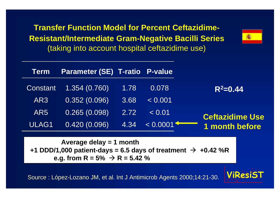**Transfer Function Model for Percent Ceftazidime-Resistant/Intermediate Gram-Negative Bacilli Series** (taking into account hospital ceftazidime use)

|                        |          |      | <b>Parameter (SE) T-ratio P-value</b> | Term  |
|------------------------|----------|------|---------------------------------------|-------|
| $R^2 = 0.44$           | 0.078    | 1.78 | Constant 1.354 (0.760)                |       |
|                        | < 0.001  | 3.68 | 0.352(0.096)                          | AR3   |
| <b>Ceftazidime Use</b> | < 0.01   | 2.72 | 0.265(0.098)                          | AR5   |
| <b>1 month before</b>  | < 0.0001 | 4.34 | 0.420(0.096)                          | ULAG1 |

**Average delay = 1 month +1 DDD/1,000 patient-days = 6.5 days of treatment**  $\rightarrow$  **+0.42 %R e.g. from R = 5%**  $\rightarrow$  **R = 5.42 %** 

Source : López-Lozano JM, et al. Int J Antimicrob Agents 2000;14:21-30.

![](_page_8_Picture_4.jpeg)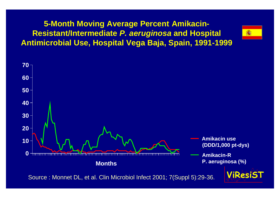### **5-Month Moving Average Percent Amikacin-Resistant/Intermediate** *P. aeruginosa* **and Hospital Antimicrobial Use, Hospital Vega Baja, Spain, 1991-1999**

![](_page_9_Figure_1.jpeg)

Source : Monnet DL, et al. Clin Microbiol Infect 2001; 7(Suppl 5):29-36.

![](_page_9_Picture_3.jpeg)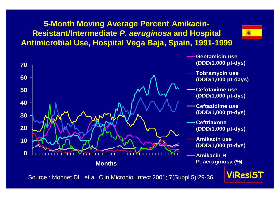### **5-Month Moving Average Percent Amikacin-Resistant/Intermediate** *P. aeruginosa* **and Hospital Antimicrobial Use, Hospital Vega Baja, Spain, 1991-1999**

![](_page_10_Picture_1.jpeg)

![](_page_10_Figure_2.jpeg)

![](_page_10_Picture_3.jpeg)

Source : Monnet DL, et al. Clin Microbiol Infect 2001; 7(Suppl 5):29-36.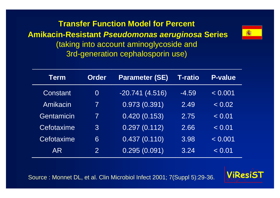**Transfer Function Model for Percent Amikacin-Resistant** *Pseudomonas aeruginosa* **Series** (taking into account aminoglycoside and 3rd-generation cephalosporin use)

![](_page_11_Picture_1.jpeg)

Source : Monnet DL, et al. Clin Microbiol Infect 2001; 7(Suppl 5):29-36.

![](_page_11_Picture_3.jpeg)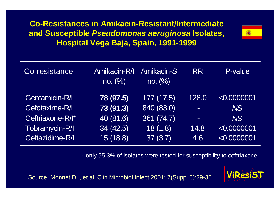**Co-Resistances in Amikacin-Resistant/Intermediate and Susceptible** *Pseudomonas aeruginosa* **Isolates, Hospital Vega Baja, Spain, 1991-1999**

![](_page_12_Picture_1.jpeg)

| Co-resistance    | Amikacin-R/I<br>no. (%) | <b>Amikacin-S</b><br>no. (%) | <b>RR</b> | P-value     |
|------------------|-------------------------|------------------------------|-----------|-------------|
| Gentamicin-R/I   | 78 (97.5)               | 177(17.5)                    | 128.0     | < 0.0000001 |
| Cefotaxime-R/I   | 73 (91.3)               | 840 (83.0)                   | $\equiv$  | NS          |
| Ceftriaxone-R/I* | 40 (81.6)               | 361 (74.7)                   | $\sim$    | NS          |
| Tobramycin-R/I   | 34(42.5)                | 18(1.8)                      | 14.8      | < 0.0000001 |
| Ceftazidime-R/I  | 15 (18.8)               | 37(3.7)                      | 4.6       | < 0.0000001 |

\* only 55.3% of isolates were tested for susceptibility to ceftriaxone

![](_page_12_Picture_4.jpeg)

Source: Monnet DL, et al. Clin Microbiol Infect 2001; 7(Suppl 5):29-36.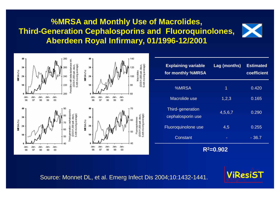#### **STATENS SERUM INSTITUT %MRSA and Monthly Use of Macrolides, Third-Generation Cephalosporins and Fluoroquinolones, Aberdeen Royal Infirmary, 01/1996-12/2001**

![](_page_13_Picture_1.jpeg)

![](_page_13_Figure_2.jpeg)

| <b>Explaining variable</b><br>for monthly %MRSA | Lag (months) | <b>Estimated</b><br>coefficient |  |  |  |  |
|-------------------------------------------------|--------------|---------------------------------|--|--|--|--|
| %MRSA                                           | 1            | 0.420                           |  |  |  |  |
| Macrolide use                                   | 1,2,3        | 0.165                           |  |  |  |  |
| Third-generation<br>cephalosporin use           | 4,5,6,7      | 0.290                           |  |  |  |  |
| Fluoroquinolone use                             | 4,5          | 0.255                           |  |  |  |  |
| Constant                                        |              | - 36.7                          |  |  |  |  |
| $R^2 = 0.902$                                   |              |                                 |  |  |  |  |

Source: Monnet DL, et al. Emerg Infect Dis 2004;10:1432-1441.

![](_page_13_Picture_5.jpeg)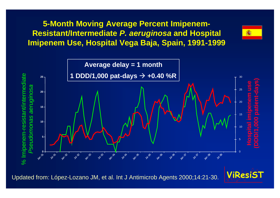**5-Month Moving Average Percent Imipenem-Resistant/Intermediate** *P. aeruginosa* **and Hospital Imipenem Use, Hospital Vega Baja, Spain, 1991-1999**

![](_page_14_Figure_1.jpeg)

![](_page_14_Picture_3.jpeg)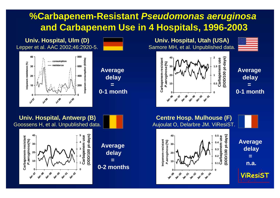## **STATENS SERUM INSTITUT %Carbapenem-Resistant** *Pseudomonas aeruginosa* **and Carbapenem Use in 4 Hospitals, 1996-2003**

![](_page_15_Figure_1.jpeg)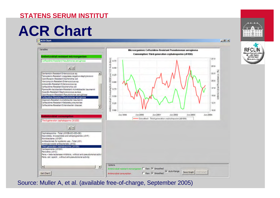#### **STATENS SERUM INSTITUT**

# **ACR Chart**

ACR Chart File Variables Microorganism: Ceftazidime-Resistant Pseudomonas aeruginosa Consumption: Third-generation cephalosporins (J01DD) Antimicrobial resistant microorganism  $\frac{12}{20}$  0.75<br>  $\frac{1}{20}$  0.50<br>  $\frac{1}{20}$  0.50  $27.5$ Ceftazidme-Resistant Pseudomonas aeruginosa  $250$  $\left| \cdot \right|$ Gentamicin-Resistant Enterococcus sp. 22.5 칀 p ar  $\frac{a}{b}$  $6.25$ Teicoplanin-Resistant coagulase-negative staphylococci  $\overline{8}$  0.00 Antimicrobial Resistan Corofloxacin-Resistant Escherichia coll  $20.0$ Vancomycin-Resistant Enterococcus sp. Amoxicilin-Resistant Enterococcus sp. Antimicrobial Consumption<br>Consumption<br>Consumers of Consumption Ceftazidine-Resistant Escherichia coli  $17.5$ Poeracilin-tazobactam-Resistant Acinetobacter baumanni Oxacilin-Resistant Staphylococcus aureus Ciprofloxacin-Resistant Pseudomonas aeruginosa  $15.0$ Ceftazidine-Resistant Pseudomonas aeruginosa Impenem-Resistant Acinetobacter baumanni Ceftazidine-Resistant Klebsiela pneumoniae  $12.5$ Ceftazidine-Resistant Enterobacter cloacae  $\overline{\phantom{a}}$ 10.0 Jan-1999 Jan-2000 Jan-2001 Jan-2002 Jan-2003 Jan-2004 Antimicrobial consumption - Smaathed - Third-generation cephalosparins (JO1DD) Third-generation cephalosporins (30 IDD) 피치 Cephalosporms - Total (J01DB+DC+DD+DE) Macroldes, Incosamides and streptogramms (JO1F) Monobactams (J01DF) Antibacterials for systemic use - Total (J01) Aminoglycoside antibacterials (J01G) Third-generation cephalosporms (J01DD Carbapenems (J01DH) Penicilins (J01C) Pens. - beta-lactamase inhibitors, without anti-pseudomonal activi Pens, ext. spectr., without anti-pseudomonal activity Options  $\cdot$ × Raw IV Smoothed Antimorobial-resistant microorganis V Auto-Range Save Graph Free Grad F Raw IV Smoothed Get Chart! Antimicrobial consumption

Source: Muller A, et al. (available free-of-charge, September 2005)

 $-10x$ 

![](_page_16_Picture_5.jpeg)

![](_page_16_Picture_6.jpeg)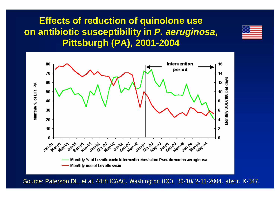## **Effects of reduction of quinolone use on antibiotic susceptibility in** *P. aeruginosa***, Pittsburgh (PA), 2001-2004**

![](_page_17_Picture_1.jpeg)

![](_page_17_Figure_2.jpeg)

Source: Paterson DL, et al. 44th ICAAC, Washington (DC), 30-10/2-11-2004, abstr. K-347.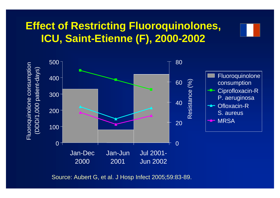## **Effect of Restricting Fluoroquinolones, ICU, Saint-Etienne (F), 2000-2002**

![](_page_18_Figure_1.jpeg)

Source: Aubert G, et al. J Hosp Infect 2005;59:83-89.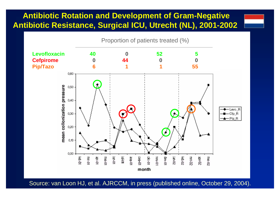### **Antibiotic Rotation and Development of Gram-Negative Antibiotic Resistance, Surgical ICU, Utrecht (NL), 2001-2002**

![](_page_19_Figure_1.jpeg)

Source: van Loon HJ, et al. AJRCCM, in press (published online, October 29, 2004).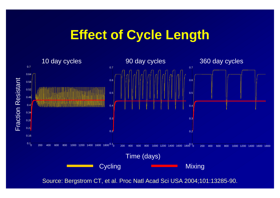## **Effect of Cycle Length**

![](_page_20_Figure_1.jpeg)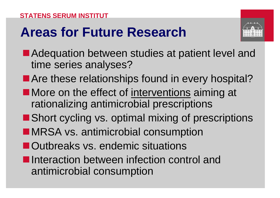## **Areas for Future Research**

![](_page_21_Figure_2.jpeg)

- Adequation between studies at patient level and time series analyses?
- Are these relationships found in every hospital?
- **nMore on the effect of interventions aiming at** rationalizing antimicrobial prescriptions
- $\blacksquare$  Short cycling vs. optimal mixing of prescriptions
- **nMRSA vs. antimicrobial consumption**
- **n**Outbreaks vs. endemic situations
- **n**Interaction between infection control and antimicrobial consumption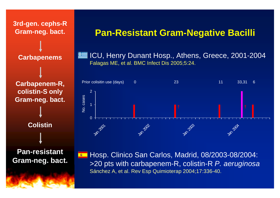![](_page_22_Figure_0.jpeg)

### **Pan-Resistant Gram-Negative Bacilli**

• ICU, Henry Dunant Hosp., Athens, Greece, 2001-2004 Falagas ME, et al. BMC Infect Dis 2005;5:24.

![](_page_22_Figure_3.jpeg)

**• Hosp. Clinico San Carlos, Madrid, 08/2003-08/2004:** >20 pts with carbapenem-R, colistin-R *P. aeruginosa* Sánchez A, et al. Rev Esp Quimioterap 2004;17:336-40.